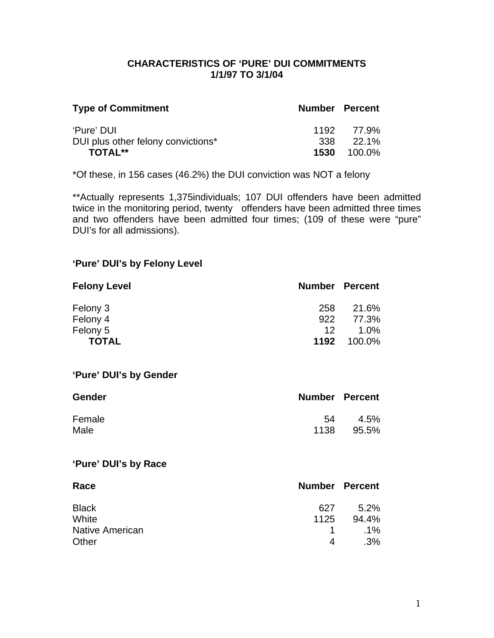### **CHARACTERISTICS OF 'PURE' DUI COMMITMENTS 1/1/97 TO 3/1/04**

| <b>Type of Commitment</b>          | <b>Number Percent</b> |                    |
|------------------------------------|-----------------------|--------------------|
| 'Pure' DUI                         |                       | 1192 77.9%         |
| DUI plus other felony convictions* |                       | $338$ $22.1\%$     |
| <b>TOTAL**</b>                     |                       | <b>1530</b> 100.0% |

\*Of these, in 156 cases (46.2%) the DUI conviction was NOT a felony

\*\*Actually represents 1,375individuals; 107 DUI offenders have been admitted twice in the monitoring period, twenty offenders have been admitted three times and two offenders have been admitted four times; (109 of these were "pure" DUI's for all admissions).

## **'Pure' DUI's by Felony Level**

| <b>Felony Level</b> | <b>Number Percent</b> |        |
|---------------------|-----------------------|--------|
| Felony 3            | 258                   | 21.6%  |
| Felony 4            | 922                   | 77.3%  |
| Felony 5            | 12.                   | 1.0%   |
| <b>TOTAL</b>        | 1192                  | 100.0% |

### **'Pure' DUI's by Gender**

| <b>Gender</b> | <b>Number Percent</b> |         |
|---------------|-----------------------|---------|
| Female        | 54                    | $4.5\%$ |
| Male          | 1138                  | 95.5%   |

### **'Pure' DUI's by Race**

| Race                   | <b>Number Percent</b> |        |
|------------------------|-----------------------|--------|
| <b>Black</b>           | 627                   | 5.2%   |
| White                  | 1125                  | 94.4%  |
| <b>Native American</b> | $\mathbf{1}$          | $.1\%$ |
| Other                  | 4                     | $.3\%$ |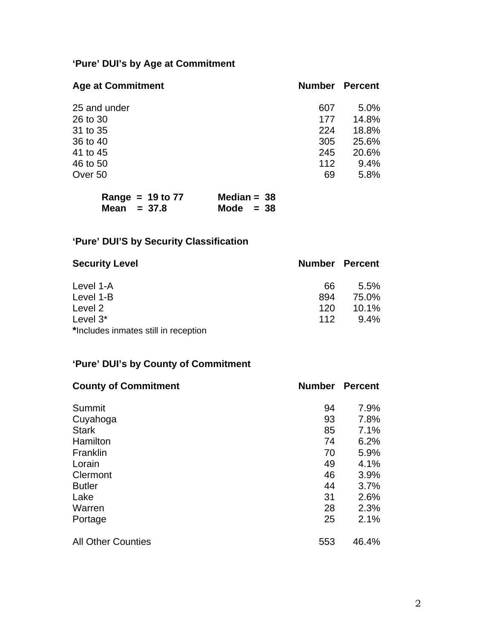# **'Pure' DUI's by Age at Commitment**

| <b>Age at Commitment</b> | <b>Number</b> | <b>Percent</b> |
|--------------------------|---------------|----------------|
| 25 and under             | 607           | 5.0%           |
| 26 to 30                 | 177           | 14.8%          |
| 31 to 35                 | 224           | 18.8%          |
| 36 to 40                 | 305           | 25.6%          |
| 41 to 45                 | 245           | 20.6%          |
| 46 to 50                 | 112           | 9.4%           |
| Over 50                  | 69            | 5.8%           |

| Range = $19$ to $77$ | Median = $38$ |
|----------------------|---------------|
| Mean $= 37.8$        | Mode $= 38$   |

# **'Pure' DUI'S by Security Classification**

| <b>Security Level</b>                |     | <b>Number Percent</b> |
|--------------------------------------|-----|-----------------------|
| Level 1-A                            | 66  | 5.5%                  |
| Level 1-B                            | 894 | 75.0%                 |
| Level 2                              | 120 | $10.1\%$              |
| Level $3^*$                          | 112 | $9.4\%$               |
| *Includes inmates still in reception |     |                       |

## **'Pure' DUI's by County of Commitment**

| <b>County of Commitment</b> | <b>Number</b> | <b>Percent</b> |
|-----------------------------|---------------|----------------|
| Summit                      | 94            | 7.9%           |
| Cuyahoga                    | 93            | 7.8%           |
| <b>Stark</b>                | 85            | 7.1%           |
| Hamilton                    | 74            | 6.2%           |
| Franklin                    | 70            | 5.9%           |
| Lorain                      | 49            | 4.1%           |
| Clermont                    | 46            | 3.9%           |
| <b>Butler</b>               | 44            | 3.7%           |
| Lake                        | 31            | 2.6%           |
| Warren                      | 28            | 2.3%           |
| Portage                     | 25            | 2.1%           |
| <b>All Other Counties</b>   | 553           | 46.4%          |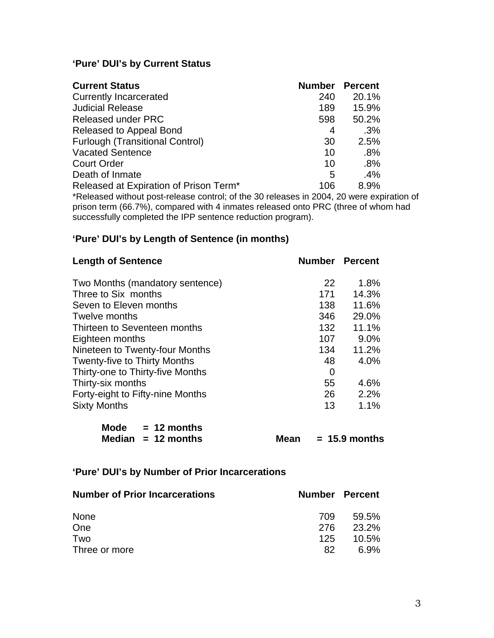## **'Pure' DUI's by Current Status**

| <b>Current Status</b>                                                            | <b>Number</b> | <b>Percent</b> |
|----------------------------------------------------------------------------------|---------------|----------------|
| <b>Currently Incarcerated</b>                                                    | 240           | 20.1%          |
| <b>Judicial Release</b>                                                          | 189           | 15.9%          |
| Released under PRC                                                               | 598           | 50.2%          |
| Released to Appeal Bond                                                          | 4             | .3%            |
| <b>Furlough (Transitional Control)</b>                                           | 30            | 2.5%           |
| <b>Vacated Sentence</b>                                                          | 10            | .8%            |
| <b>Court Order</b>                                                               | 10            | .8%            |
| Death of Inmate                                                                  | 5             | .4%            |
| Released at Expiration of Prison Term <sup>*</sup>                               | 106           | 8.9%           |
| *Released without post-release control: of the 30 releases in 2004 20 were expir |               |                |

\*Released without post-release control; of the 30 releases in 2004, 20 were expiration of prison term (66.7%), compared with 4 inmates released onto PRC (three of whom had successfully completed the IPP sentence reduction program).

## **'Pure' DUI's by Length of Sentence (in months)**

| <b>Length of Sentence</b>           | <b>Number Percent</b> |       |
|-------------------------------------|-----------------------|-------|
| Two Months (mandatory sentence)     | 22                    | 1.8%  |
| Three to Six months                 | 171                   | 14.3% |
| Seven to Eleven months              | 138                   | 11.6% |
| Twelve months                       | 346                   | 29.0% |
| Thirteen to Seventeen months        | 132                   | 11.1% |
| Eighteen months                     | 107                   | 9.0%  |
| Nineteen to Twenty-four Months      | 134                   | 11.2% |
| <b>Twenty-five to Thirty Months</b> | 48                    | 4.0%  |
| Thirty-one to Thirty-five Months    | 0                     |       |
| Thirty-six months                   | 55                    | 4.6%  |
| Forty-eight to Fifty-nine Months    | 26                    | 2.2%  |
| <b>Sixty Months</b>                 | 13                    | 1.1%  |

| <b>Mode</b> | $= 12$ months        |
|-------------|----------------------|
|             | Median $= 12$ months |

**Mean = 15.9 months** 

## **'Pure' DUI's by Number of Prior Incarcerations**

| <b>Number of Prior Incarcerations</b> |      | <b>Number Percent</b> |
|---------------------------------------|------|-----------------------|
| <b>None</b>                           | 709  | 59.5%                 |
| One                                   | -276 | 23.2%                 |
| Two                                   | 125. | 10.5%                 |
| Three or more                         | 82   | 6.9%                  |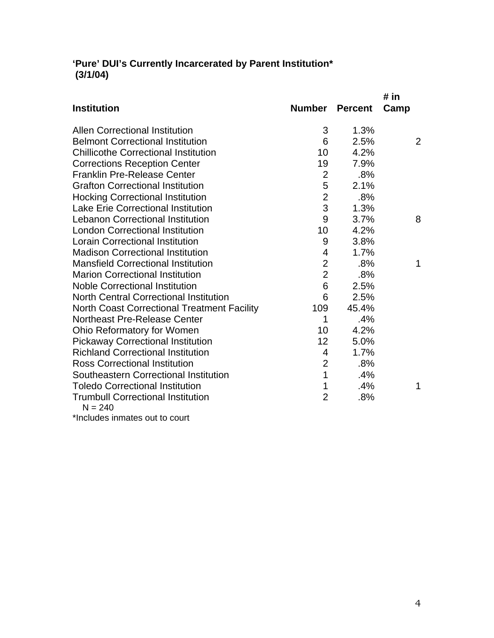## **'Pure' DUI's Currently Incarcerated by Parent Institution\* (3/1/04)**

|                                                       |                |                | # in |
|-------------------------------------------------------|----------------|----------------|------|
| <b>Institution</b>                                    | Number         | <b>Percent</b> | Camp |
| <b>Allen Correctional Institution</b>                 | 3              | 1.3%           |      |
| <b>Belmont Correctional Institution</b>               | 6              | 2.5%           | 2    |
| <b>Chillicothe Correctional Institution</b>           | 10             | 4.2%           |      |
| <b>Corrections Reception Center</b>                   | 19             | 7.9%           |      |
| <b>Franklin Pre-Release Center</b>                    | $\overline{2}$ | .8%            |      |
| <b>Grafton Correctional Institution</b>               | 5              | 2.1%           |      |
| <b>Hocking Correctional Institution</b>               | $\overline{2}$ | .8%            |      |
| <b>Lake Erie Correctional Institution</b>             | 3              | 1.3%           |      |
| <b>Lebanon Correctional Institution</b>               | 9              | 3.7%           | 8    |
| <b>London Correctional Institution</b>                | 10             | 4.2%           |      |
| <b>Lorain Correctional Institution</b>                | 9              | 3.8%           |      |
| <b>Madison Correctional Institution</b>               | 4              | 1.7%           |      |
| <b>Mansfield Correctional Institution</b>             | $\overline{2}$ | .8%            | 1    |
| <b>Marion Correctional Institution</b>                | $\overline{2}$ | .8%            |      |
| <b>Noble Correctional Institution</b>                 | 6              | 2.5%           |      |
| North Central Correctional Institution                | 6              | 2.5%           |      |
| <b>North Coast Correctional Treatment Facility</b>    | 109            | 45.4%          |      |
| <b>Northeast Pre-Release Center</b>                   | 1              | .4%            |      |
| Ohio Reformatory for Women                            | 10             | 4.2%           |      |
| <b>Pickaway Correctional Institution</b>              | 12             | 5.0%           |      |
| <b>Richland Correctional Institution</b>              | 4              | 1.7%           |      |
| <b>Ross Correctional Institution</b>                  | $\overline{2}$ | .8%            |      |
| Southeastern Correctional Institution                 | $\overline{1}$ | .4%            |      |
| <b>Toledo Correctional Institution</b>                | 1              | .4%            | 1    |
| <b>Trumbull Correctional Institution</b><br>$N = 240$ | $\overline{2}$ | .8%            |      |
|                                                       |                |                |      |

\*Includes inmates out to court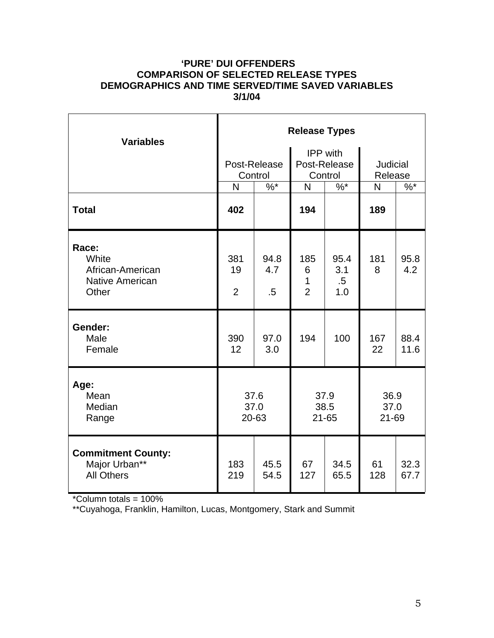### **'PURE' DUI OFFENDERS COMPARISON OF SELECTED RELEASE TYPES DEMOGRAPHICS AND TIME SERVED/TIME SAVED VARIABLES 3/1/04**

| <b>Variables</b>                                                      | <b>Release Types</b>        |                         |                                            |                              |                            |              |  |  |
|-----------------------------------------------------------------------|-----------------------------|-------------------------|--------------------------------------------|------------------------------|----------------------------|--------------|--|--|
|                                                                       |                             | Post-Release<br>Control | <b>IPP</b> with<br>Post-Release<br>Control |                              | <b>Judicial</b><br>Release |              |  |  |
|                                                                       | N                           | $\%^{*}$                | N                                          | $\%^{*}$                     | N                          | $%^*$        |  |  |
| <b>Total</b>                                                          | 402                         |                         | 194                                        |                              | 189                        |              |  |  |
| Race:<br>White<br>African-American<br><b>Native American</b><br>Other | 381<br>19<br>$\overline{2}$ | 94.8<br>4.7<br>$.5\,$   | 185<br>6<br>$\mathbf{1}$<br>$\overline{2}$ | 95.4<br>3.1<br>$.5\,$<br>1.0 | 181<br>8                   | 95.8<br>4.2  |  |  |
| Gender:<br>Male<br>Female                                             | 390<br>12                   | 97.0<br>3.0             | 194                                        | 100                          | 167<br>22                  | 88.4<br>11.6 |  |  |
| Age:<br>Mean<br>Median<br>Range                                       | 37.6<br>37.0<br>20-63       |                         | 37.9<br>38.5<br>$21 - 65$                  |                              | 36.9<br>37.0<br>21-69      |              |  |  |
| <b>Commitment County:</b><br>Major Urban**<br><b>All Others</b>       | 183<br>219                  | 45.5<br>54.5            | 67<br>127                                  | 34.5<br>65.5                 | 61<br>128                  | 32.3<br>67.7 |  |  |

\*Column totals = 100%

\*\*Cuyahoga, Franklin, Hamilton, Lucas, Montgomery, Stark and Summit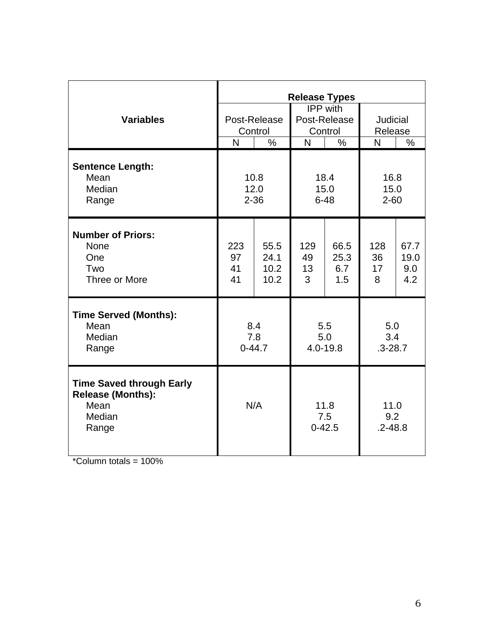|                                                                                        | <b>Release Types</b>     |                              |                                            |                            |                            |                            |
|----------------------------------------------------------------------------------------|--------------------------|------------------------------|--------------------------------------------|----------------------------|----------------------------|----------------------------|
| <b>Variables</b>                                                                       | Post-Release<br>Control  |                              | <b>IPP</b> with<br>Post-Release<br>Control |                            | Judicial<br>Release        |                            |
|                                                                                        | $\overline{\mathsf{N}}$  | $\frac{0}{0}$                | N                                          | $\%$                       | N                          | $\%$                       |
| <b>Sentence Length:</b><br>Mean<br>Median<br>Range                                     | 10.8<br>12.0<br>$2 - 36$ |                              | 18.4<br>15.0<br>$6 - 48$                   |                            | 16.8<br>15.0<br>$2 - 60$   |                            |
| <b>Number of Priors:</b><br><b>None</b><br>One<br>Two<br>Three or More                 | 223<br>97<br>41<br>41    | 55.5<br>24.1<br>10.2<br>10.2 | 129<br>49<br>13<br>3                       | 66.5<br>25.3<br>6.7<br>1.5 | 128<br>36<br>17<br>8       | 67.7<br>19.0<br>9.0<br>4.2 |
| <b>Time Served (Months):</b><br>Mean<br>Median<br>Range                                | 8.4<br>7.8<br>$0 - 44.7$ |                              | 5.5<br>5.0<br>4.0-19.8                     |                            | 5.0<br>3.4<br>$.3 - 28.7$  |                            |
| <b>Time Saved through Early</b><br><b>Release (Months):</b><br>Mean<br>Median<br>Range | N/A                      |                              | 11.8<br>7.5<br>$0 - 42.5$                  |                            | 11.0<br>9.2<br>$.2 - 48.8$ |                            |

 $*$ Column totals = 100%